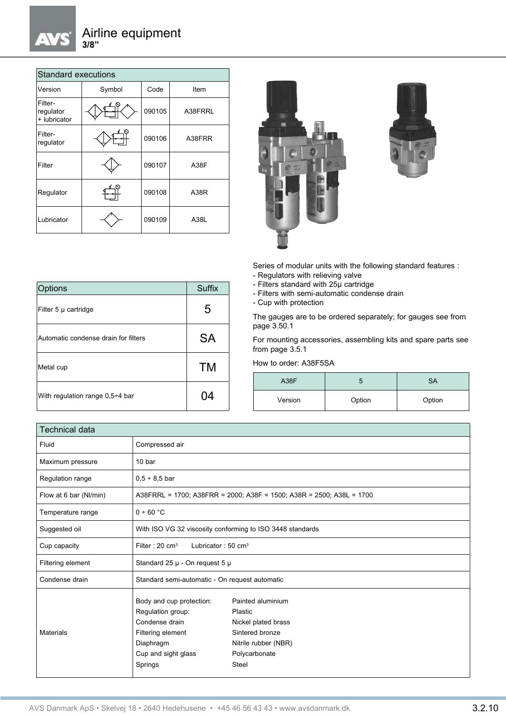| <b>Standard executions</b>           |        |        |         |  |  |
|--------------------------------------|--------|--------|---------|--|--|
| Version                              | Symbol | Code   | Item    |  |  |
| Filter-<br>regulator<br>+ lubricator |        | 090105 | A38FRRL |  |  |
| Filter-<br>regulator                 |        | 090106 | A38FRR  |  |  |
| Filter                               |        | 090107 | A38F    |  |  |
| Regulator                            |        | 090108 | A38R    |  |  |
| Lubricator                           |        | 090109 | A38L    |  |  |

Options Suffix

Filter 5  $\mu$  cartridge  $\vert$  5

Automatic condense drain for filters  $S_A$ 

Metal cup **TM** 

With regulation range  $0,5+4$  bar  $\vert$  04





Series of modular units with the following standard features : - Regulators with relieving valve

- Filters standard with 25µ cartridge
- Filters with semi-automatic condense drain
- Cup with protection

The gauges are to be ordered separately; for gauges see from page 3.50.1

For mounting accessories, assembling kits and spare parts see from page 3.5.1

## How to order: A38F5SA

| A38F    |        | SА     |  |
|---------|--------|--------|--|
| Version | Option | Option |  |

| <b>Technical data</b>  |                                                                                                                                                                                                                                                                        |  |  |
|------------------------|------------------------------------------------------------------------------------------------------------------------------------------------------------------------------------------------------------------------------------------------------------------------|--|--|
| Fluid                  | Compressed air                                                                                                                                                                                                                                                         |  |  |
| Maximum pressure       | 10 bar                                                                                                                                                                                                                                                                 |  |  |
| Regulation range       | $0.5 \div 8.5$ bar                                                                                                                                                                                                                                                     |  |  |
| Flow at 6 bar (Nl/min) | A38FRRL = 1700; A38FRR = 2000; A38F = 1500; A38R = 2500; A38L = 1700                                                                                                                                                                                                   |  |  |
| Temperature range      | 0 ÷ 60 °C                                                                                                                                                                                                                                                              |  |  |
| Suggested oil          | With ISO VG 32 viscosity conforming to ISO 3448 standards                                                                                                                                                                                                              |  |  |
| Cup capacity           | Filter: $20 \text{ cm}^3$<br>Lubricator: $50 \text{ cm}^3$                                                                                                                                                                                                             |  |  |
| Filtering element      | Standard 25 $\mu$ - On request 5 $\mu$                                                                                                                                                                                                                                 |  |  |
| Condense drain         | Standard semi-automatic - On request automatic                                                                                                                                                                                                                         |  |  |
| <b>Materials</b>       | Body and cup protection:<br>Painted aluminium<br>Regulation group:<br>Plastic<br>Condense drain<br>Nickel plated brass<br>Sintered bronze<br>Filtering element<br>Diaphragm<br>Nitrile rubber (NBR)<br>Cup and sight glass<br>Polycarbonate<br>Springs<br><b>Steel</b> |  |  |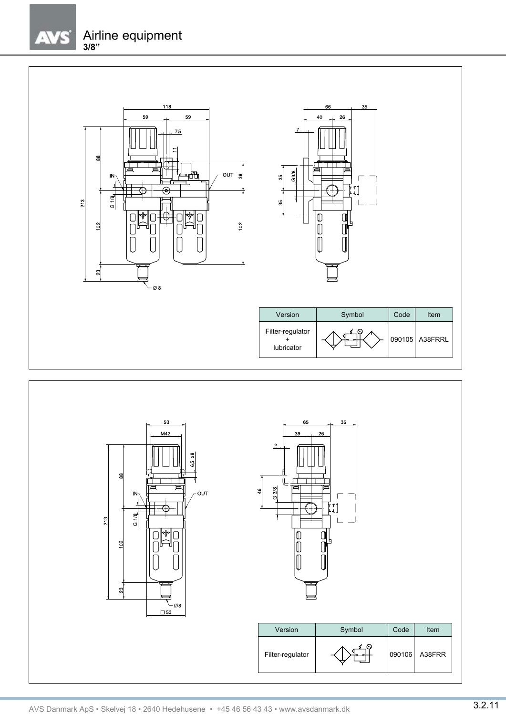$\sqrt{2}$ 





66

| Version                        | Symbol | Code | Item           |
|--------------------------------|--------|------|----------------|
| Filter-regulator<br>lubricator |        |      | 090105 A38FRRL |

 $35$ 

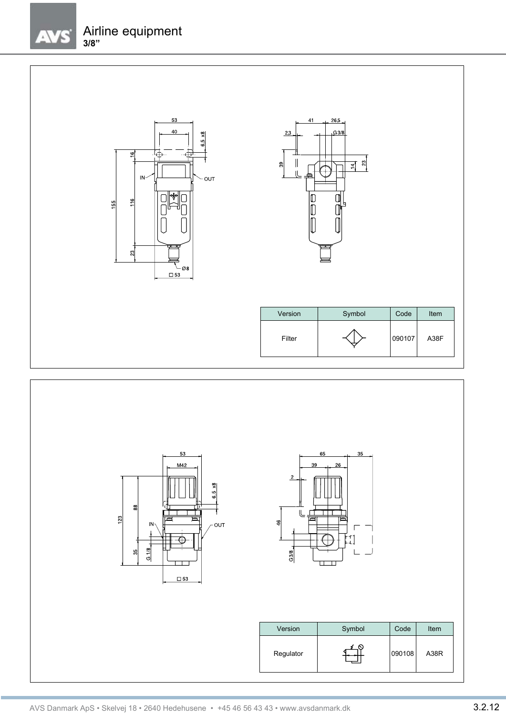$\mathcal{L}/\mathcal{L}$